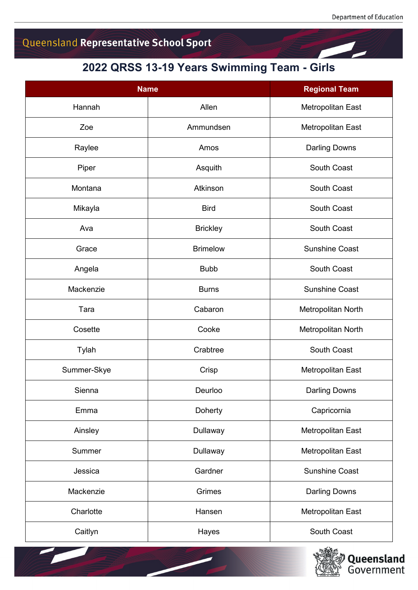## Queensland Representative School Sport

## **2022 QRSS 13-19 Years Swimming Team - Girls**

| <b>Name</b> |                 | <b>Regional Team</b>     |
|-------------|-----------------|--------------------------|
| Hannah      | Allen           | Metropolitan East        |
| Zoe         | Ammundsen       | Metropolitan East        |
| Raylee      | Amos            | <b>Darling Downs</b>     |
| Piper       | Asquith         | South Coast              |
| Montana     | Atkinson        | South Coast              |
| Mikayla     | <b>Bird</b>     | South Coast              |
| Ava         | <b>Brickley</b> | South Coast              |
| Grace       | <b>Brimelow</b> | <b>Sunshine Coast</b>    |
| Angela      | <b>Bubb</b>     | South Coast              |
| Mackenzie   | <b>Burns</b>    | <b>Sunshine Coast</b>    |
| Tara        | Cabaron         | Metropolitan North       |
| Cosette     | Cooke           | Metropolitan North       |
| Tylah       | Crabtree        | South Coast              |
| Summer-Skye | Crisp           | Metropolitan East        |
| Sienna      | Deurloo         | <b>Darling Downs</b>     |
| Emma        | Doherty         | Capricornia              |
| Ainsley     | Dullaway        | <b>Metropolitan East</b> |
| Summer      | Dullaway        | Metropolitan East        |
| Jessica     | Gardner         | <b>Sunshine Coast</b>    |
| Mackenzie   | Grimes          | <b>Darling Downs</b>     |
| Charlotte   | Hansen          | Metropolitan East        |
| Caitlyn     | Hayes           | South Coast              |

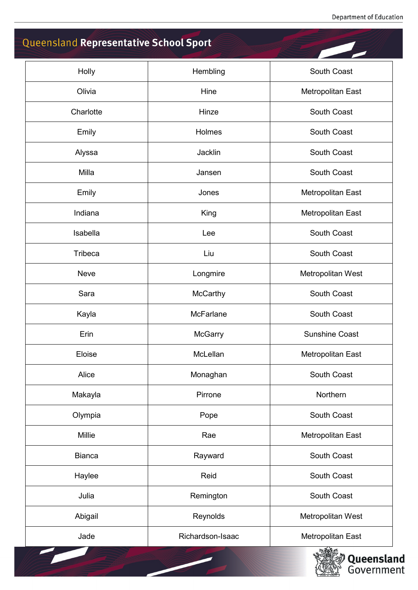## Queensland Representative School Sport

| Holly          | Hembling         | South Coast           |
|----------------|------------------|-----------------------|
| Olivia         | Hine             | Metropolitan East     |
| Charlotte      | Hinze            | South Coast           |
| Emily          | Holmes           | South Coast           |
| Alyssa         | Jacklin          | South Coast           |
| Milla          | Jansen           | South Coast           |
| Emily          | Jones            | Metropolitan East     |
| Indiana        | King             | Metropolitan East     |
| Isabella       | Lee              | South Coast           |
| <b>Tribeca</b> | Liu              | South Coast           |
| Neve           | Longmire         | Metropolitan West     |
| Sara           | <b>McCarthy</b>  | South Coast           |
| Kayla          | <b>McFarlane</b> | South Coast           |
| Erin           | <b>McGarry</b>   | <b>Sunshine Coast</b> |
| Eloise         | McLellan         | Metropolitan East     |
| Alice          | Monaghan         | South Coast           |
| Makayla        | Pirrone          | Northern              |
| Olympia        | Pope             | South Coast           |
| Millie         | Rae              | Metropolitan East     |
| <b>Bianca</b>  | Rayward          | South Coast           |
| Haylee         | Reid             | South Coast           |
| Julia          | Remington        | South Coast           |
| Abigail        | Reynolds         | Metropolitan West     |
| Jade           | Richardson-Isaac | Metropolitan East     |